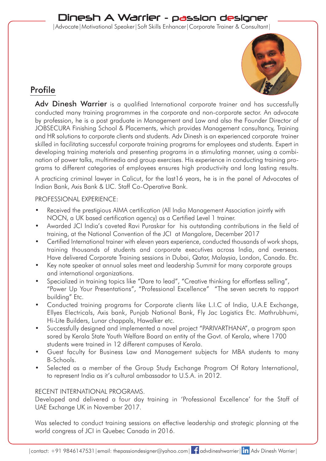# Dinesh A Warrier - passion designer

|Advocate|Motivational Speaker|Soft Skills Enhancer|Corporate Trainer & Consultant|



# Profile

Adv Dinesh Warrier is a qualified International corporate trainer and has successfully conducted many training programmes in the corporate and non-corporate sector. An advocate by profession, he is a post graduate in Management and Law and also the Founder Director of JOBSECURA Finishing School & Placements, which provides Management consultancy, Training and HR solutions to corporate clients and students. Adv Dinesh is an experienced corporate trainer skilled in facilitating successful corporate training programs for employees and students. Expert in developing training materials and presenting programs in a stimulating manner, using a combination of power talks, multimedia and group exercises. His experience in conducting training programs to different categories of employees ensures high productivity and long lasting results.

A practicing criminal lawyer in Calicut, for the last16 years, he is in the panel of Advocates of Indian Bank, Axis Bank & LIC. Staff Co-Operative Bank.

### PROFESSIONAL EXPERIENCE:

- Received the prestigious AIMA certification (All India Management Association jointly with NOCN, a UK based certification agency) as a Certified Level 1 trainer.
- Awarded JCI India's coveted Ravi Puraskar for his outstanding contributions in the field of training, at the National Convention of the JCI at Mangalore, December 2017
- Certified International trainer with eleven years experience, conducted thousands of work shops, training thousands of students and corporate executives across India, and overseas. Have delivered Corporate Training sessions in Dubai, Qatar, Malaysia, London, Canada. Etc.
- Key note speaker at annual sales meet and leadership Summit for many corporate groups and international organizations.
- Specialized in training topics like "Dare to lead", "Creative thinking for effortless selling", "Power Up Your Presentations", "Professional Excellence" "The seven secrets to rapport building" Etc.
- Conducted training programs for Corporate clients like L.I.C of India, U.A.E Exchange, Ellyes Electricals, Axis bank, Punjab National Bank, Fly Jac Logistics Etc. Mathrubhumi, Hi-Lite Builders, Lunar chappals, Hawalker etc.
- Successfully designed and implemented a novel project "PARIVARTHANA", a program spon sored by Kerala State Youth Welfare Board an entity of the Govt. of Kerala, where 1700 students were trained in 12 different campuses of Kerala.
- Guest faculty for Business Law and Management subjects for MBA students to many B-Schools.
- Selected as a member of the Group Study Exchange Program Of Rotary International, to represent India as it's cultural ambassador to U.S.A. in 2012.

# RECENT INTERNATIONAL PROGRAMS.

Developed and delivered a four day training in 'Professional Excellence' for the Staff of UAE Exchange UK in November 2017.

Was selected to conduct training sessions on effective leadership and strategic planning at the world congress of JCI in Quebec Canada in 2016.